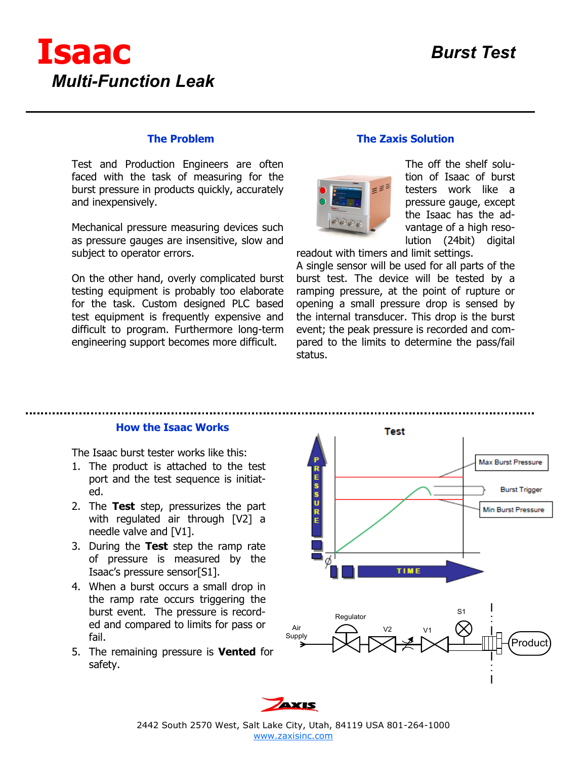

### **The Problem**

Test and Production Engineers are often faced with the task of measuring for the burst pressure in products quickly, accurately and inexpensively.

Mechanical pressure measuring devices such as pressure gauges are insensitive, slow and subject to operator errors.

On the other hand, overly complicated burst testing equipment is probably too elaborate for the task. Custom designed PLC based test equipment is frequently expensive and difficult to program. Furthermore long-term engineering support becomes more difficult.

## **The Zaxis Solution**



The off the shelf solution of Isaac of burst testers work like a pressure gauge, except the Isaac has the advantage of a high resolution (24bit) digital

readout with timers and limit settings.

A single sensor will be used for all parts of the burst test. The device will be tested by a ramping pressure, at the point of rupture or opening a small pressure drop is sensed by the internal transducer. This drop is the burst event; the peak pressure is recorded and compared to the limits to determine the pass/fail status.

#### **How the Isaac Works**

The Isaac burst tester works like this:

- 1. The product is attached to the test port and the test sequence is initiated.
- 2. The **Test** step, pressurizes the part with regulated air through [V2] a needle valve and [V1].
- 3. During the **Test** step the ramp rate of pressure is measured by the Isaac's pressure sensor[S1].
- 4. When a burst occurs a small drop in the ramp rate occurs triggering the burst event. The pressure is recorded and compared to limits for pass or fail.
- 5. The remaining pressure is **Vented** for safety.